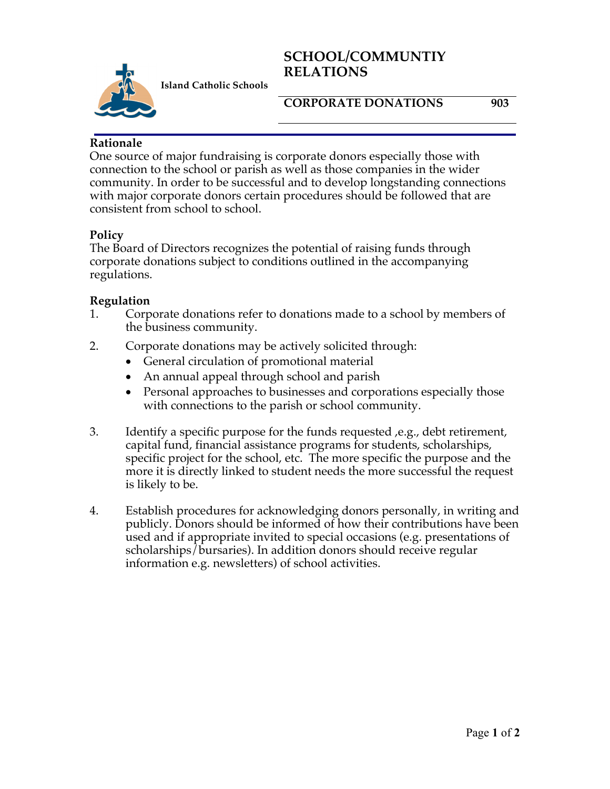# **SCHOOL/COMMUNTIY RELATIONS**



**Island Catholic Schools** 

#### **CORPORATE DONATIONS 903**

### **Rationale**

One source of major fundraising is corporate donors especially those with connection to the school or parish as well as those companies in the wider community. In order to be successful and to develop longstanding connections with major corporate donors certain procedures should be followed that are consistent from school to school.

## **Policy**

The Board of Directors recognizes the potential of raising funds through corporate donations subject to conditions outlined in the accompanying regulations.

#### **Regulation**

- 1. Corporate donations refer to donations made to a school by members of the business community.
- 2. Corporate donations may be actively solicited through:
	- General circulation of promotional material
	- An annual appeal through school and parish
	- Personal approaches to businesses and corporations especially those with connections to the parish or school community.
- 3. Identify a specific purpose for the funds requested ,e.g., debt retirement, capital fund, financial assistance programs for students, scholarships, specific project for the school, etc. The more specific the purpose and the more it is directly linked to student needs the more successful the request is likely to be.
- 4. Establish procedures for acknowledging donors personally, in writing and publicly. Donors should be informed of how their contributions have been used and if appropriate invited to special occasions (e.g. presentations of scholarships/bursaries). In addition donors should receive regular information e.g. newsletters) of school activities.